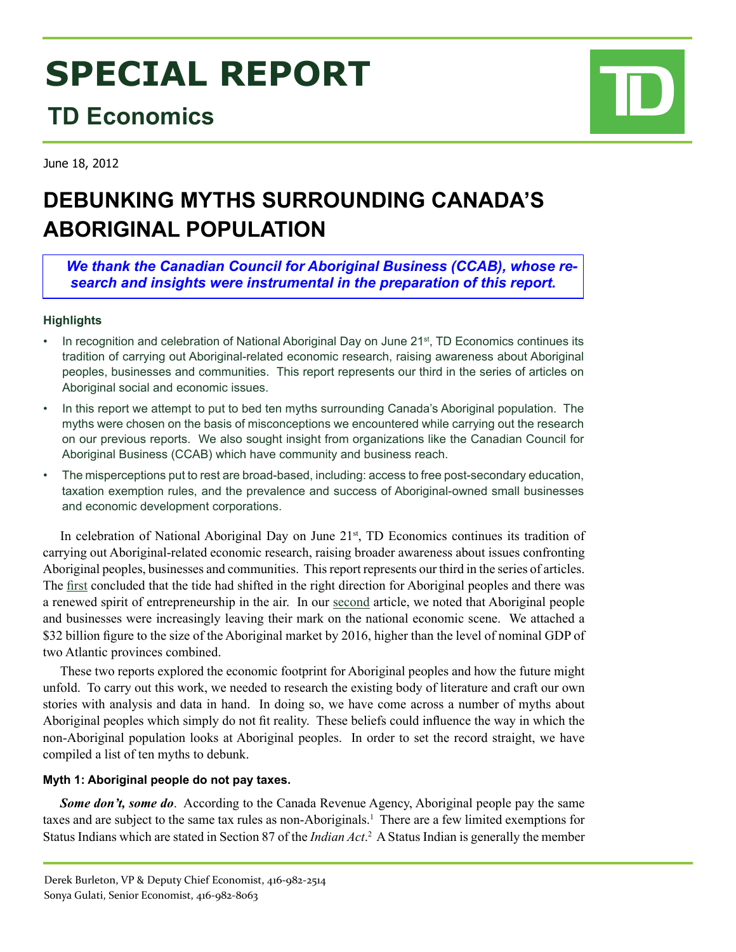# **SPECIAL REPORT**

# **TD Economics**

June 18, 2012

# **DEBUNKING MYTHS SURROUNDING CANADA'S ABORIGINAL POPULATION**

*We thank the Canadian Council for Aboriginal Business (CCAB), whose research and insights were instrumental in the preparation of this report.* 

# **Highlights**

- In recognition and celebration of National Aboriginal Day on June 21<sup>st</sup>, TD Economics continues its tradition of carrying out Aboriginal-related economic research, raising awareness about Aboriginal peoples, businesses and communities. This report represents our third in the series of articles on Aboriginal social and economic issues.
- In this report we attempt to put to bed ten myths surrounding Canada's Aboriginal population. The myths were chosen on the basis of misconceptions we encountered while carrying out the research on our previous reports. We also sought insight from organizations like the Canadian Council for Aboriginal Business (CCAB) which have community and business reach.
- The misperceptions put to rest are broad-based, including: access to free post-secondary education, taxation exemption rules, and the prevalence and success of Aboriginal-owned small businesses and economic development corporations.

In celebration of National Aboriginal Day on June 21<sup>st</sup>, TD Economics continues its tradition of carrying out Aboriginal-related economic research, raising broader awareness about issues confronting Aboriginal peoples, businesses and communities. This report represents our third in the series of articles. The [first](http://www.td.com/document/PDF/economics/special/td-economics-special-db0609-aboriginal.pdf) concluded that the tide had shifted in the right direction for Aboriginal peoples and there was a renewed spirit of entrepreneurship in the air. In our [second](http://www.td.com/document/PDF/economics/special/sg0611_aboriginal.pdf) article, we noted that Aboriginal people and businesses were increasingly leaving their mark on the national economic scene. We attached a \$32 billion figure to the size of the Aboriginal market by 2016, higher than the level of nominal GDP of two Atlantic provinces combined.

These two reports explored the economic footprint for Aboriginal peoples and how the future might unfold. To carry out this work, we needed to research the existing body of literature and craft our own stories with analysis and data in hand. In doing so, we have come across a number of myths about Aboriginal peoples which simply do not fit reality. These beliefs could influence the way in which the non-Aboriginal population looks at Aboriginal peoples. In order to set the record straight, we have compiled a list of ten myths to debunk.

#### **Myth 1: Aboriginal people do not pay taxes.**

**Some don't, some do**. According to the Canada Revenue Agency, Aboriginal people pay the same taxes and are subject to the same tax rules as non-Aboriginals.<sup>1</sup> There are a few limited exemptions for Status Indians which are stated in Section 87 of the *Indian Act*.<sup>2</sup> A Status Indian is generally the member

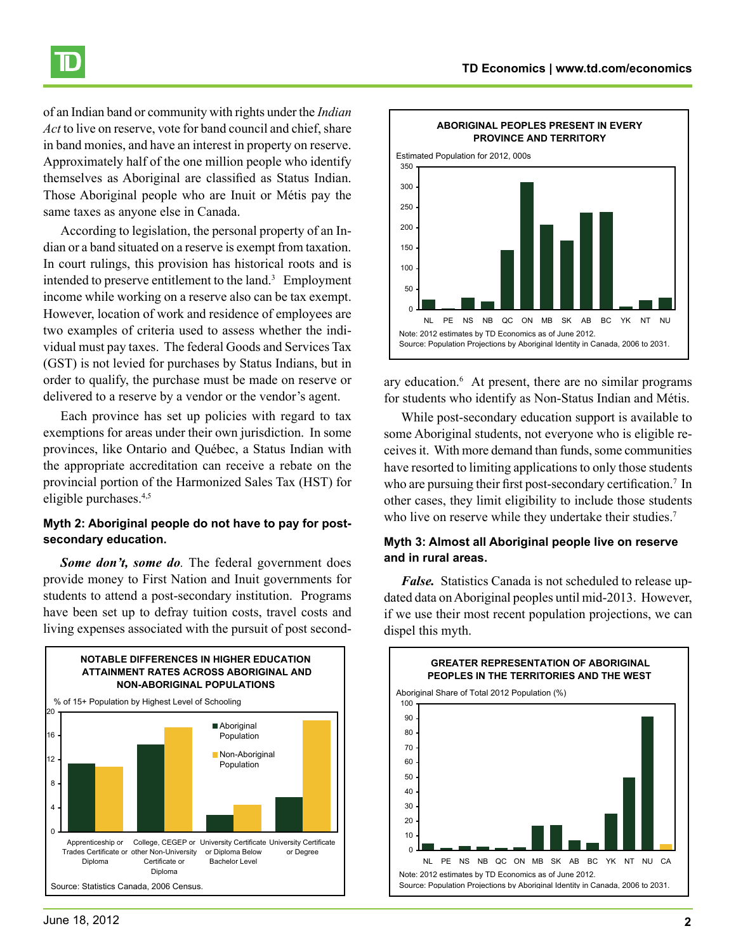

of an Indian band or community with rights under the *Indian Act* to live on reserve, vote for band council and chief, share in band monies, and have an interest in property on reserve. Approximately half of the one million people who identify themselves as Aboriginal are classified as Status Indian. Those Aboriginal people who are Inuit or Métis pay the same taxes as anyone else in Canada.

According to legislation, the personal property of an Indian or a band situated on a reserve is exempt from taxation. In court rulings, this provision has historical roots and is intended to preserve entitlement to the land.<sup>3</sup> Employment income while working on a reserve also can be tax exempt. However, location of work and residence of employees are two examples of criteria used to assess whether the individual must pay taxes. The federal Goods and Services Tax (GST) is not levied for purchases by Status Indians, but in order to qualify, the purchase must be made on reserve or delivered to a reserve by a vendor or the vendor's agent.

Each province has set up policies with regard to tax exemptions for areas under their own jurisdiction. In some provinces, like Ontario and Québec, a Status Indian with the appropriate accreditation can receive a rebate on the provincial portion of the Harmonized Sales Tax (HST) for eligible purchases.4,5

#### **Myth 2: Aboriginal people do not have to pay for postsecondary education.**

*Some don't, some do.* The federal government does provide money to First Nation and Inuit governments for students to attend a post-secondary institution. Programs have been set up to defray tuition costs, travel costs and living expenses associated with the pursuit of post second-





ary education.<sup>6</sup> At present, there are no similar programs for students who identify as Non-Status Indian and Métis.

While post-secondary education support is available to some Aboriginal students, not everyone who is eligible receives it. With more demand than funds, some communities have resorted to limiting applications to only those students who are pursuing their first post-secondary certification.<sup>7</sup> In other cases, they limit eligibility to include those students who live on reserve while they undertake their studies.<sup>7</sup>

#### **Myth 3: Almost all Aboriginal people live on reserve and in rural areas.**

*False.* Statistics Canada is not scheduled to release updated data on Aboriginal peoples until mid-2013. However, if we use their most recent population projections, we can dispel this myth.

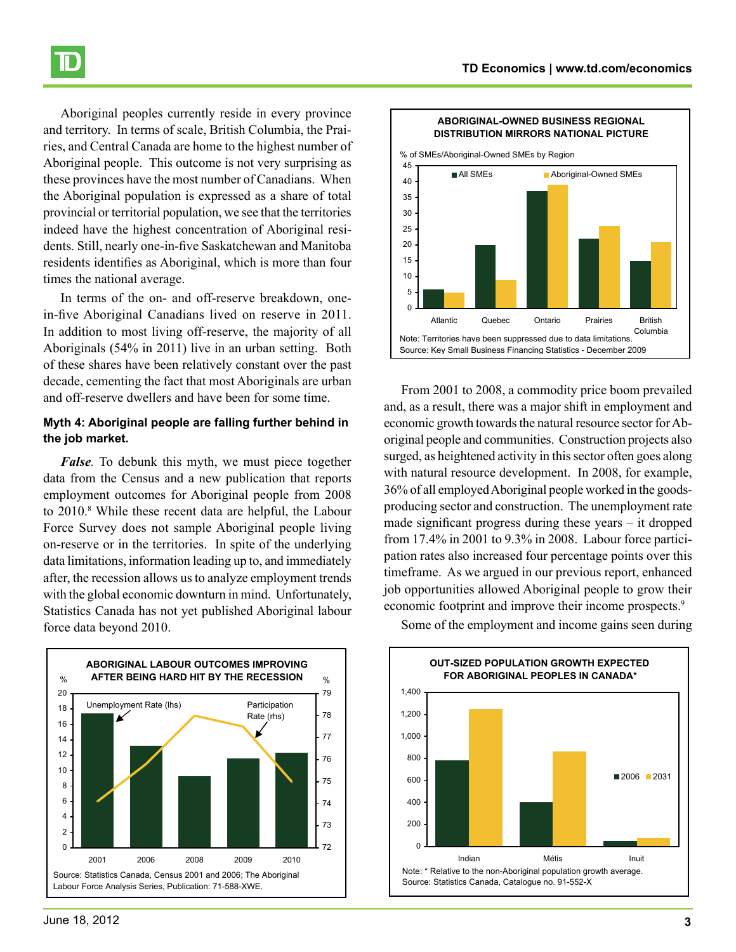

Aboriginal peoples currently reside in every province and territory. In terms of scale, British Columbia, the Prairies, and Central Canada are home to the highest number of Aboriginal people. This outcome is not very surprising as these provinces have the most number of Canadians. When the Aboriginal population is expressed as a share of total provincial or territorial population, we see that the territories indeed have the highest concentration of Aboriginal residents. Still, nearly one-in-five Saskatchewan and Manitoba residents identifies as Aboriginal, which is more than four times the national average.

In terms of the on- and off-reserve breakdown, onein-five Aboriginal Canadians lived on reserve in 2011. In addition to most living off-reserve, the majority of all Aboriginals (54% in 2011) live in an urban setting. Both of these shares have been relatively constant over the past decade, cementing the fact that most Aboriginals are urban and off-reserve dwellers and have been for some time.

#### **Myth 4: Aboriginal people are falling further behind in the job market.**

*False.* To debunk this myth, we must piece together data from the Census and a new publication that reports employment outcomes for Aboriginal people from 2008 to 2010.<sup>8</sup> While these recent data are helpful, the Labour Force Survey does not sample Aboriginal people living on-reserve or in the territories. In spite of the underlying data limitations, information leading up to, and immediately after, the recession allows us to analyze employment trends with the global economic downturn in mind. Unfortunately, Statistics Canada has not yet published Aboriginal labour force data beyond 2010.





From 2001 to 2008, a commodity price boom prevailed and, as a result, there was a major shift in employment and economic growth towards the natural resource sector for Aboriginal people and communities. Construction projects also surged, as heightened activity in this sector often goes along with natural resource development. In 2008, for example, 36% of all employed Aboriginal people worked in the goodsproducing sector and construction. The unemployment rate made significant progress during these years – it dropped from 17.4% in 2001 to 9.3% in 2008. Labour force participation rates also increased four percentage points over this timeframe. As we argued in our previous report, enhanced job opportunities allowed Aboriginal people to grow their economic footprint and improve their income prospects.<sup>9</sup>



Some of the employment and income gains seen during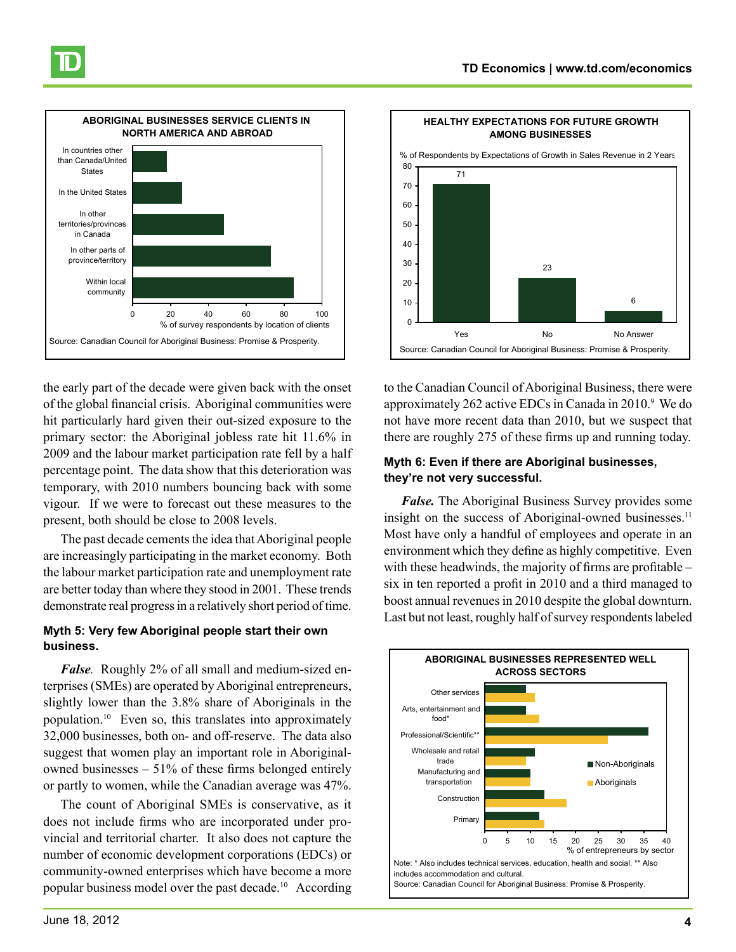



the early part of the decade were given back with the onset of the global financial crisis. Aboriginal communities were hit particularly hard given their out-sized exposure to the primary sector: the Aboriginal jobless rate hit 11.6% in 2009 and the labour market participation rate fell by a half percentage point. The data show that this deterioration was temporary, with 2010 numbers bouncing back with some vigour. If we were to forecast out these measures to the present, both should be close to 2008 levels.

The past decade cements the idea that Aboriginal people are increasingly participating in the market economy. Both the labour market participation rate and unemployment rate are better today than where they stood in 2001. These trends demonstrate real progress in a relatively short period of time.

#### **Myth 5: Very few Aboriginal people start their own business.**

*False.* Roughly 2% of all small and medium-sized enterprises (SMEs) are operated by Aboriginal entrepreneurs, slightly lower than the 3.8% share of Aboriginals in the population.<sup>10</sup> Even so, this translates into approximately 32,000 businesses, both on- and off-reserve. The data also suggest that women play an important role in Aboriginalowned businesses – 51% of these firms belonged entirely or partly to women, while the Canadian average was 47%.

The count of Aboriginal SMEs is conservative, as it does not include firms who are incorporated under provincial and territorial charter. It also does not capture the number of economic development corporations (EDCs) or community-owned enterprises which have become a more popular business model over the past decade.<sup>10</sup> According



to the Canadian Council of Aboriginal Business, there were approximately 262 active EDCs in Canada in 2010.<sup>9</sup> We do not have more recent data than 2010, but we suspect that there are roughly 275 of these firms up and running today.

#### **Myth 6: Even if there are Aboriginal businesses, they're not very successful.**

*False.* The Aboriginal Business Survey provides some insight on the success of Aboriginal-owned businesses.<sup>11</sup> Most have only a handful of employees and operate in an environment which they define as highly competitive. Even with these headwinds, the majority of firms are profitable – six in ten reported a profit in 2010 and a third managed to boost annual revenues in 2010 despite the global downturn. Last but not least, roughly half of survey respondents labeled

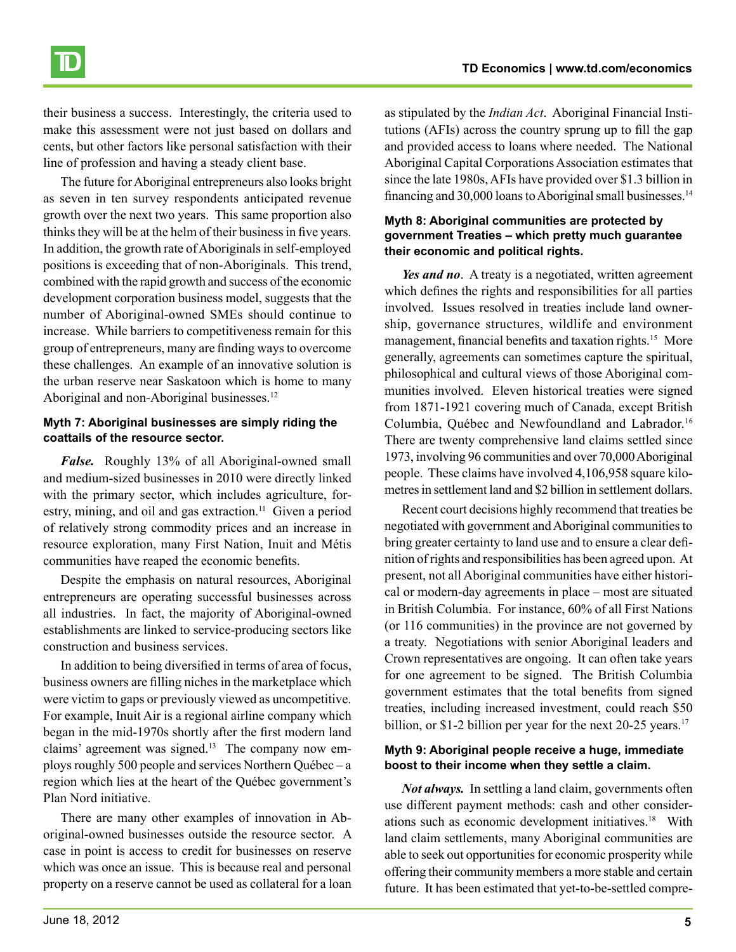their business a success. Interestingly, the criteria used to make this assessment were not just based on dollars and cents, but other factors like personal satisfaction with their line of profession and having a steady client base.

The future for Aboriginal entrepreneurs also looks bright as seven in ten survey respondents anticipated revenue growth over the next two years. This same proportion also thinks they will be at the helm of their business in five years. In addition, the growth rate of Aboriginals in self-employed positions is exceeding that of non-Aboriginals. This trend, combined with the rapid growth and success of the economic development corporation business model, suggests that the number of Aboriginal-owned SMEs should continue to increase. While barriers to competitiveness remain for this group of entrepreneurs, many are finding ways to overcome these challenges. An example of an innovative solution is the urban reserve near Saskatoon which is home to many Aboriginal and non-Aboriginal businesses.12

### **Myth 7: Aboriginal businesses are simply riding the coattails of the resource sector.**

*False.* Roughly 13% of all Aboriginal-owned small and medium-sized businesses in 2010 were directly linked with the primary sector, which includes agriculture, forestry, mining, and oil and gas extraction.<sup>11</sup> Given a period of relatively strong commodity prices and an increase in resource exploration, many First Nation, Inuit and Métis communities have reaped the economic benefits.

Despite the emphasis on natural resources, Aboriginal entrepreneurs are operating successful businesses across all industries. In fact, the majority of Aboriginal-owned establishments are linked to service-producing sectors like construction and business services.

In addition to being diversified in terms of area of focus, business owners are filling niches in the marketplace which were victim to gaps or previously viewed as uncompetitive. For example, Inuit Air is a regional airline company which began in the mid-1970s shortly after the first modern land claims' agreement was signed.<sup>13</sup> The company now employs roughly 500 people and services Northern Québec – a region which lies at the heart of the Québec government's Plan Nord initiative.

There are many other examples of innovation in Aboriginal-owned businesses outside the resource sector. A case in point is access to credit for businesses on reserve which was once an issue. This is because real and personal property on a reserve cannot be used as collateral for a loan as stipulated by the *Indian Act*. Aboriginal Financial Institutions (AFIs) across the country sprung up to fill the gap and provided access to loans where needed. The National Aboriginal Capital Corporations Association estimates that since the late 1980s, AFIs have provided over \$1.3 billion in financing and 30,000 loans to Aboriginal small businesses.<sup>14</sup>

#### **Myth 8: Aboriginal communities are protected by government Treaties – which pretty much guarantee their economic and political rights.**

*Yes and no*. A treaty is a negotiated, written agreement which defines the rights and responsibilities for all parties involved. Issues resolved in treaties include land ownership, governance structures, wildlife and environment management, financial benefits and taxation rights.<sup>15</sup> More generally, agreements can sometimes capture the spiritual, philosophical and cultural views of those Aboriginal communities involved. Eleven historical treaties were signed from 1871-1921 covering much of Canada, except British Columbia, Québec and Newfoundland and Labrador.<sup>16</sup> There are twenty comprehensive land claims settled since 1973, involving 96 communities and over 70,000 Aboriginal people. These claims have involved 4,106,958 square kilometres in settlement land and \$2 billion in settlement dollars.

Recent court decisions highly recommend that treaties be negotiated with government and Aboriginal communities to bring greater certainty to land use and to ensure a clear definition of rights and responsibilities has been agreed upon. At present, not all Aboriginal communities have either historical or modern-day agreements in place – most are situated in British Columbia. For instance, 60% of all First Nations (or 116 communities) in the province are not governed by a treaty. Negotiations with senior Aboriginal leaders and Crown representatives are ongoing. It can often take years for one agreement to be signed. The British Columbia government estimates that the total benefits from signed treaties, including increased investment, could reach \$50 billion, or \$1-2 billion per year for the next 20-25 years.<sup>17</sup>

### **Myth 9: Aboriginal people receive a huge, immediate boost to their income when they settle a claim.**

*Not always.* In settling a land claim, governments often use different payment methods: cash and other considerations such as economic development initiatives.18 With land claim settlements, many Aboriginal communities are able to seek out opportunities for economic prosperity while offering their community members a more stable and certain future. It has been estimated that yet-to-be-settled compre-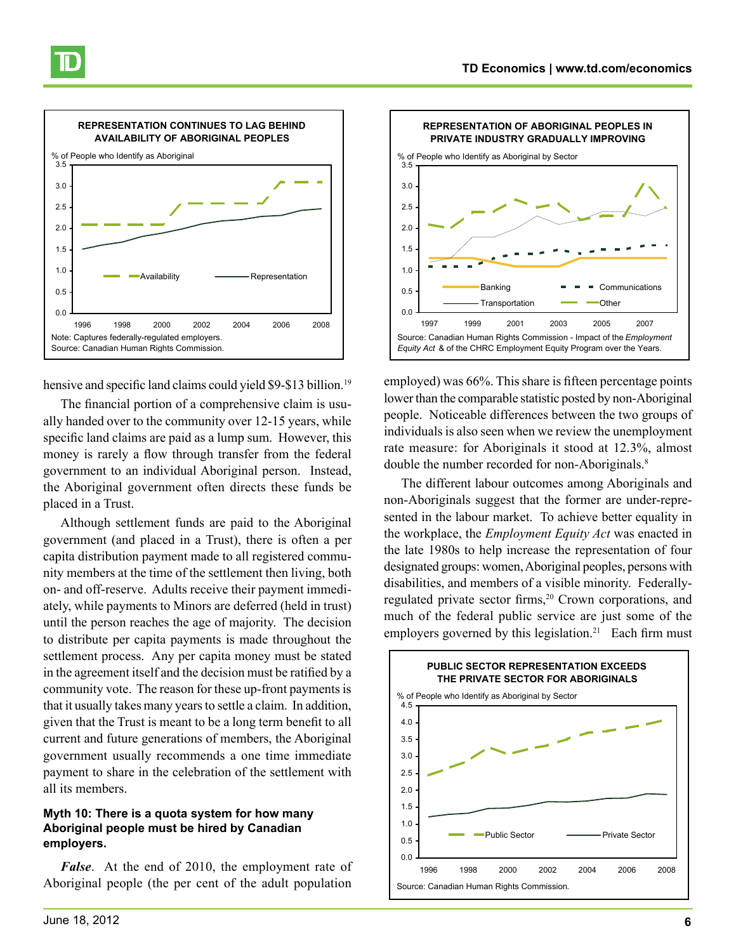

hensive and specific land claims could yield \$9-\$13 billion.<sup>19</sup>

The financial portion of a comprehensive claim is usually handed over to the community over 12-15 years, while specific land claims are paid as a lump sum. However, this money is rarely a flow through transfer from the federal government to an individual Aboriginal person. Instead, the Aboriginal government often directs these funds be placed in a Trust.

Although settlement funds are paid to the Aboriginal government (and placed in a Trust), there is often a per capita distribution payment made to all registered community members at the time of the settlement then living, both on- and off-reserve. Adults receive their payment immediately, while payments to Minors are deferred (held in trust) until the person reaches the age of majority. The decision to distribute per capita payments is made throughout the settlement process. Any per capita money must be stated in the agreement itself and the decision must be ratified by a community vote. The reason for these up-front payments is that it usually takes many years to settle a claim. In addition, given that the Trust is meant to be a long term benefit to all current and future generations of members, the Aboriginal government usually recommends a one time immediate payment to share in the celebration of the settlement with all its members.

#### **Myth 10: There is a quota system for how many Aboriginal people must be hired by Canadian employers.**

*False*. At the end of 2010, the employment rate of Aboriginal people (the per cent of the adult population



employed) was 66%. This share is fifteen percentage points lower than the comparable statistic posted by non-Aboriginal people. Noticeable differences between the two groups of individuals is also seen when we review the unemployment rate measure: for Aboriginals it stood at 12.3%, almost double the number recorded for non-Aboriginals.<sup>8</sup>

The different labour outcomes among Aboriginals and non-Aboriginals suggest that the former are under-represented in the labour market. To achieve better equality in the workplace, the *Employment Equity Act* was enacted in the late 1980s to help increase the representation of four designated groups: women, Aboriginal peoples, persons with disabilities, and members of a visible minority. Federallyregulated private sector firms,<sup>20</sup> Crown corporations, and much of the federal public service are just some of the employers governed by this legislation.<sup>21</sup> Each firm must

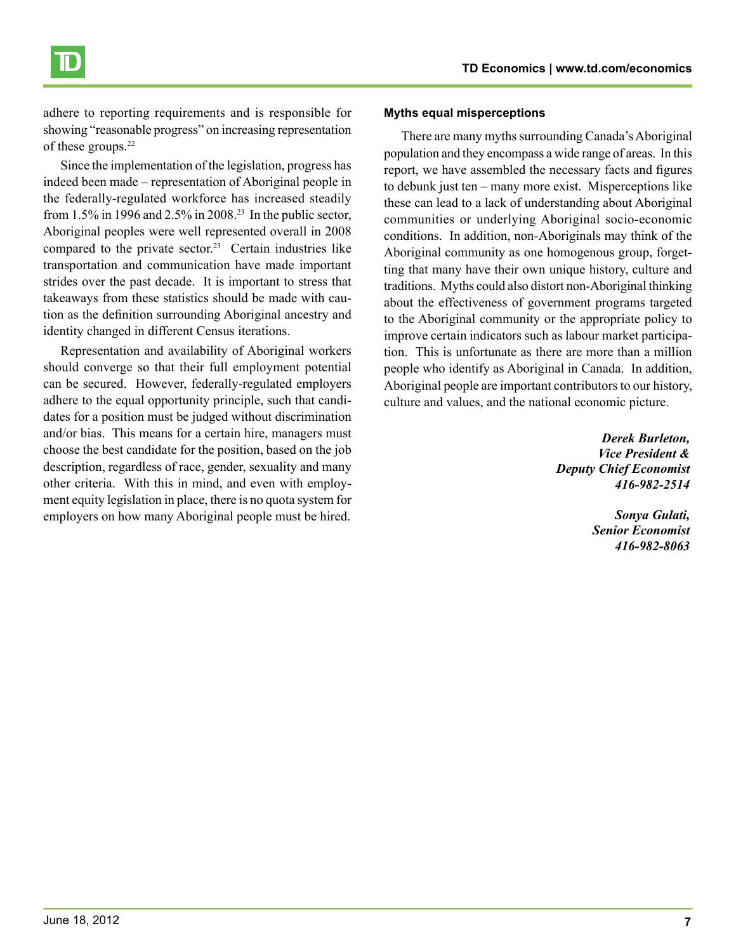

adhere to reporting requirements and is responsible for showing "reasonable progress" on increasing representation of these groups.<sup>22</sup>

Since the implementation of the legislation, progress has indeed been made – representation of Aboriginal people in the federally-regulated workforce has increased steadily from 1.5% in 1996 and 2.5% in 2008.<sup>23</sup> In the public sector, Aboriginal peoples were well represented overall in 2008 compared to the private sector.<sup>23</sup> Certain industries like transportation and communication have made important strides over the past decade. It is important to stress that takeaways from these statistics should be made with caution as the definition surrounding Aboriginal ancestry and identity changed in different Census iterations.

Representation and availability of Aboriginal workers should converge so that their full employment potential can be secured. However, federally-regulated employers adhere to the equal opportunity principle, such that candidates for a position must be judged without discrimination and/or bias. This means for a certain hire, managers must choose the best candidate for the position, based on the job description, regardless of race, gender, sexuality and many other criteria. With this in mind, and even with employment equity legislation in place, there is no quota system for employers on how many Aboriginal people must be hired.

#### **Myths equal misperceptions**

There are many myths surrounding Canada's Aboriginal population and they encompass a wide range of areas. In this report, we have assembled the necessary facts and figures to debunk just ten – many more exist. Misperceptions like these can lead to a lack of understanding about Aboriginal communities or underlying Aboriginal socio-economic conditions. In addition, non-Aboriginals may think of the Aboriginal community as one homogenous group, forgetting that many have their own unique history, culture and traditions. Myths could also distort non-Aboriginal thinking about the effectiveness of government programs targeted to the Aboriginal community or the appropriate policy to improve certain indicators such as labour market participation. This is unfortunate as there are more than a million people who identify as Aboriginal in Canada. In addition, Aboriginal people are important contributors to our history, culture and values, and the national economic picture.

> *Derek Burleton, Vice President & Deputy Chief Economist 416-982-2514*

> > *Sonya Gulati, Senior Economist 416-982-8063*